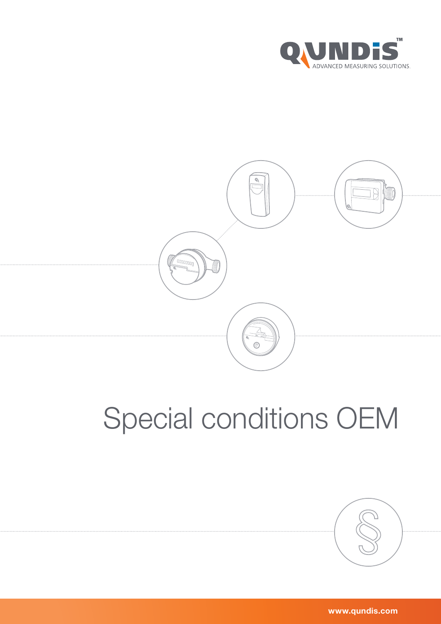



# Special conditions OEM



www.qundis.com